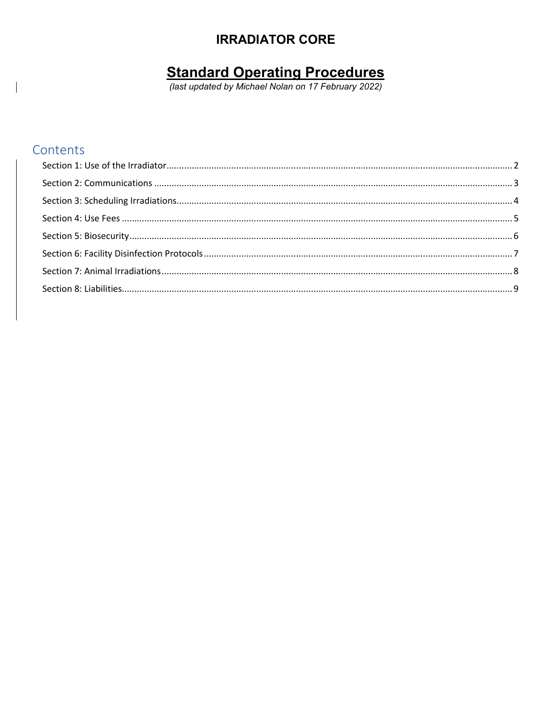# **IRRADIATOR CORE**

# **Standard Operating Procedures**<br>(last updated by Michael Nolan on 17 February 2022)

## Contents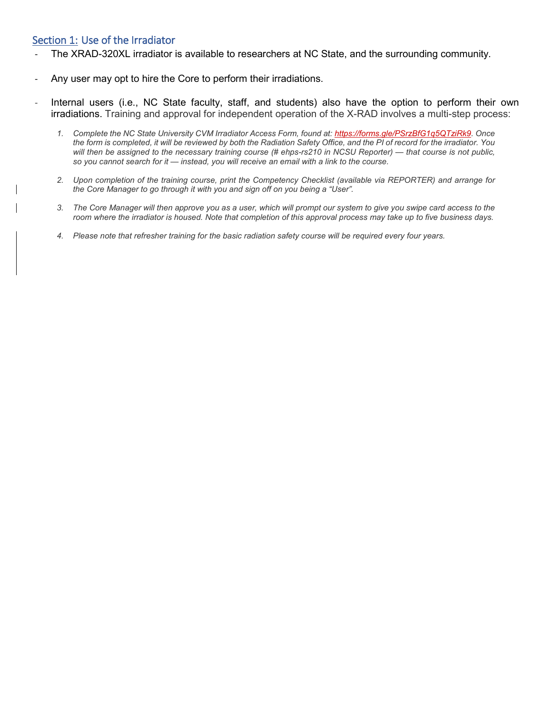## <span id="page-1-0"></span>Section 1: Use of the Irradiator

- The XRAD-320XL irradiator is available to researchers at NC State, and the surrounding community.
- Any user may opt to hire the Core to perform their irradiations.
- Internal users (i.e., NC State faculty, staff, and students) also have the option to perform their own irradiations. Training and approval for independent operation of the X-RAD involves a multi-step process:
	- *1. Complete the NC State University CVM Irradiator Access Form, found at: [https://forms.gle/PSrzBfG1q5QTziRk9.](https://forms.gle/PSrzBfG1q5QTziRk9) Once the form is completed, it will be reviewed by both the Radiation Safety Office, and the PI of record for the irradiator. You will then be assigned to the necessary training course (# ehps-rs210 in NCSU Reporter) — that course is not public, so you cannot search for it — instead, you will receive an email with a link to the course.*
	- *2. Upon completion of the training course, print the Competency Checklist (available via REPORTER) and arrange for the Core Manager to go through it with you and sign off on you being a "User".*
	- *3. The Core Manager will then approve you as a user, which will prompt our system to give you swipe card access to the room where the irradiator is housed. Note that completion of this approval process may take up to five business days.*
	- *4. Please note that refresher training for the basic radiation safety course will be required every four years.*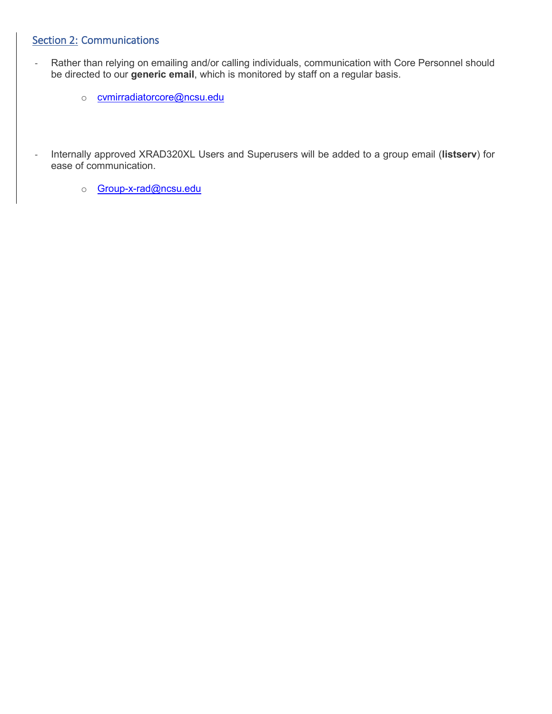## <span id="page-2-0"></span>Section 2: Communications

- Rather than relying on emailing and/or calling individuals, communication with Core Personnel should be directed to our **generic email**, which is monitored by staff on a regular basis.
	- o [cvmirradiatorcore@ncsu.edu](mailto:cvmirradiatorcore@ncsu.edu)
- Internally approved XRAD320XL Users and Superusers will be added to a group email (**listserv**) for ease of communication.
	- o [Group-x-rad@ncsu.edu](mailto:Group-x-rad@ncsu.edu)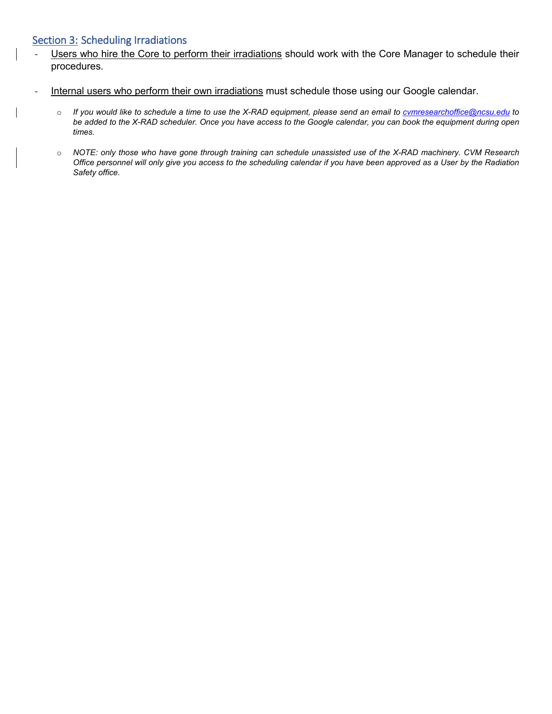#### <span id="page-3-0"></span>Section 3: Scheduling Irradiations

- Users who hire the Core to perform their irradiations should work with the Core Manager to schedule their procedures.
- Internal users who perform their own irradiations must schedule those using our Google calendar.
	- o *If you would like to schedule a time to use the X-RAD equipment, please send an email to cvmresearchoffice@ncsu.edu to be added to the X-RAD scheduler. Once you have access to the Google calendar, you can book the equipment during open times.*
	- o *NOTE: only those who have gone through training can schedule unassisted use of the X-RAD machinery. CVM Research Office personnel will only give you access to the scheduling calendar if you have been approved as a User by the Radiation Safety office.*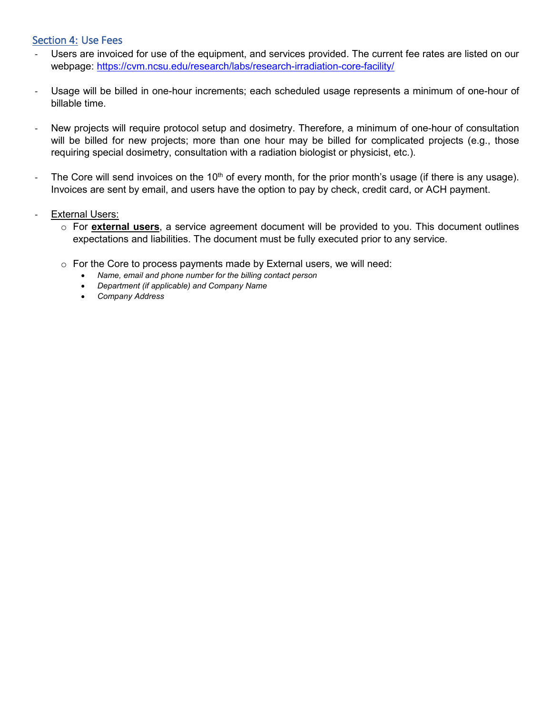#### <span id="page-4-0"></span>Section 4: Use Fees

- Users are invoiced for use of the equipment, and services provided. The current fee rates are listed on our webpage:<https://cvm.ncsu.edu/research/labs/research-irradiation-core-facility/>
- Usage will be billed in one-hour increments; each scheduled usage represents a minimum of one-hour of billable time.
- New projects will require protocol setup and dosimetry. Therefore, a minimum of one-hour of consultation will be billed for new projects; more than one hour may be billed for complicated projects (e.g., those requiring special dosimetry, consultation with a radiation biologist or physicist, etc.).
- The Core will send invoices on the  $10<sup>th</sup>$  of every month, for the prior month's usage (if there is any usage). Invoices are sent by email, and users have the option to pay by check, credit card, or ACH payment.
- External Users:
	- o For **external users**, a service agreement document will be provided to you. This document outlines expectations and liabilities. The document must be fully executed prior to any service.
	- $\circ$  For the Core to process payments made by External users, we will need:
		- *Name, email and phone number for the billing contact person*
		- *Department (if applicable) and Company Name*
		- *Company Address*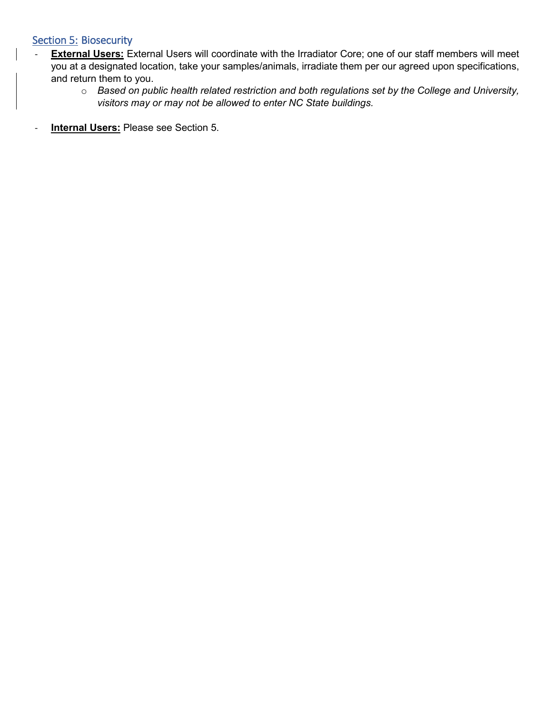## <span id="page-5-0"></span>Section 5: Biosecurity

- **External Users:** External Users will coordinate with the Irradiator Core; one of our staff members will meet you at a designated location, take your samples/animals, irradiate them per our agreed upon specifications, and return them to you.
	- o *Based on public health related restriction and both regulations set by the College and University, visitors may or may not be allowed to enter NC State buildings.*
- **Internal Users:** Please see Section 5.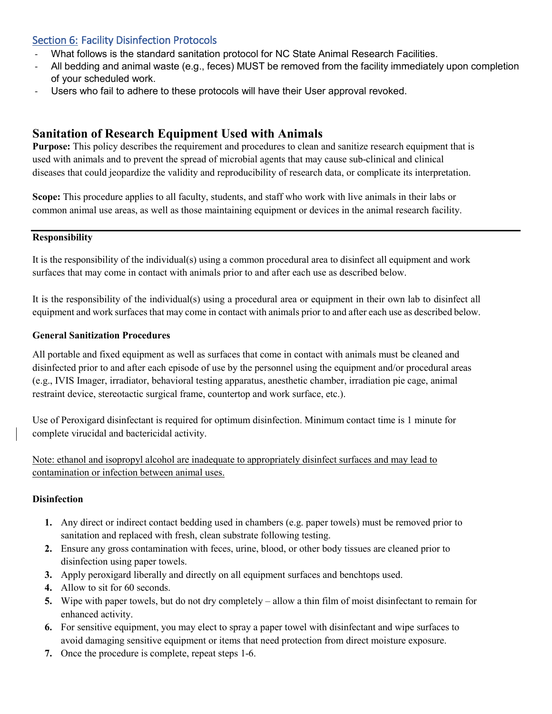## <span id="page-6-0"></span>Section 6: Facility Disinfection Protocols

- What follows is the standard sanitation protocol for NC State Animal Research Facilities.
- All bedding and animal waste (e.g., feces) MUST be removed from the facility immediately upon completion of your scheduled work.
- Users who fail to adhere to these protocols will have their User approval revoked.

## **Sanitation of Research Equipment Used with Animals**

**Purpose:** This policy describes the requirement and procedures to clean and sanitize research equipment that is used with animals and to prevent the spread of microbial agents that may cause sub-clinical and clinical diseases that could jeopardize the validity and reproducibility of research data, or complicate its interpretation.

**Scope:** This procedure applies to all faculty, students, and staff who work with live animals in their labs or common animal use areas, as well as those maintaining equipment or devices in the animal research facility.

#### **Responsibility**

It is the responsibility of the individual(s) using a common procedural area to disinfect all equipment and work surfaces that may come in contact with animals prior to and after each use as described below.

It is the responsibility of the individual(s) using a procedural area or equipment in their own lab to disinfect all equipment and work surfaces that may come in contact with animals prior to and after each use as described below.

#### **General Sanitization Procedures**

All portable and fixed equipment as well as surfaces that come in contact with animals must be cleaned and disinfected prior to and after each episode of use by the personnel using the equipment and/or procedural areas (e.g., IVIS Imager, irradiator, behavioral testing apparatus, anesthetic chamber, irradiation pie cage, animal restraint device, stereotactic surgical frame, countertop and work surface, etc.).

Use of Peroxigard disinfectant is required for optimum disinfection. Minimum contact time is 1 minute for complete virucidal and bactericidal activity.

Note: ethanol and isopropyl alcohol are inadequate to appropriately disinfect surfaces and may lead to contamination or infection between animal uses.

#### **Disinfection**

- **1.** Any direct or indirect contact bedding used in chambers (e.g. paper towels) must be removed prior to sanitation and replaced with fresh, clean substrate following testing.
- **2.** Ensure any gross contamination with feces, urine, blood, or other body tissues are cleaned prior to disinfection using paper towels.
- **3.** Apply peroxigard liberally and directly on all equipment surfaces and benchtops used.
- **4.** Allow to sit for 60 seconds.
- **5.** Wipe with paper towels, but do not dry completely allow a thin film of moist disinfectant to remain for enhanced activity.
- **6.** For sensitive equipment, you may elect to spray a paper towel with disinfectant and wipe surfaces to avoid damaging sensitive equipment or items that need protection from direct moisture exposure.
- **7.** Once the procedure is complete, repeat steps 1-6.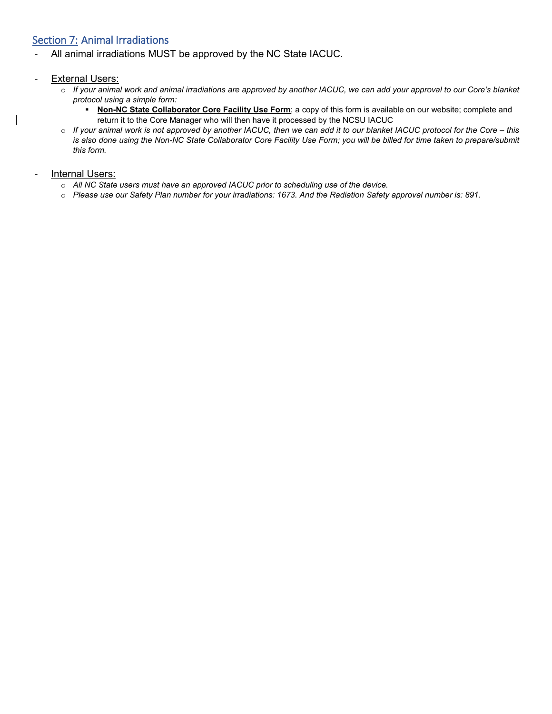## <span id="page-7-0"></span>Section 7: Animal Irradiations

All animal irradiations MUST be approved by the NC State IACUC.

#### External Users:

- o *If your animal work and animal irradiations are approved by another IACUC, we can add your approval to our Core's blanket protocol using a simple form:*
	- **Non-NC State Collaborator Core Facility Use Form**; a copy of this form is available on our website; complete and return it to the Core Manager who will then have it processed by the NCSU IACUC
- o *If your animal work is not approved by another IACUC, then we can add it to our blanket IACUC protocol for the Core – this*  is also done using the Non-NC State Collaborator Core Facility Use Form; you will be billed for time taken to prepare/submit *this form.*

#### Internal Users:

- o *All NC State users must have an approved IACUC prior to scheduling use of the device.*
- o *Please use our Safety Plan number for your irradiations: 1673. And the Radiation Safety approval number is: 891.*